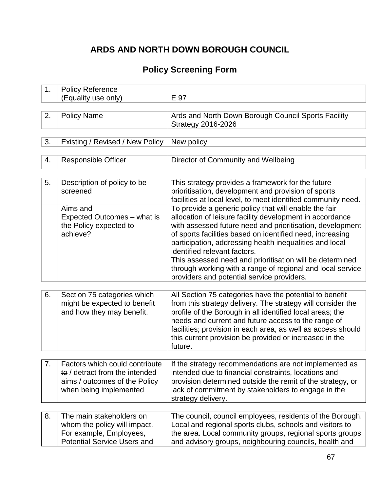# **ARDS AND NORTH DOWN BOROUGH COUNCIL**

# **Policy Screening Form**

| 1. | <b>Policy Reference</b><br>(Equality use only)                                                                              | E 97                                                                                                                                                                                                                                                                                                                                                                                                                                                                                                           |  |
|----|-----------------------------------------------------------------------------------------------------------------------------|----------------------------------------------------------------------------------------------------------------------------------------------------------------------------------------------------------------------------------------------------------------------------------------------------------------------------------------------------------------------------------------------------------------------------------------------------------------------------------------------------------------|--|
|    |                                                                                                                             |                                                                                                                                                                                                                                                                                                                                                                                                                                                                                                                |  |
| 2. | <b>Policy Name</b>                                                                                                          | Ards and North Down Borough Council Sports Facility<br><b>Strategy 2016-2026</b>                                                                                                                                                                                                                                                                                                                                                                                                                               |  |
|    |                                                                                                                             |                                                                                                                                                                                                                                                                                                                                                                                                                                                                                                                |  |
| 3. | <b>Existing / Revised / New Policy</b>                                                                                      | New policy                                                                                                                                                                                                                                                                                                                                                                                                                                                                                                     |  |
|    |                                                                                                                             |                                                                                                                                                                                                                                                                                                                                                                                                                                                                                                                |  |
| 4. | <b>Responsible Officer</b>                                                                                                  | Director of Community and Wellbeing                                                                                                                                                                                                                                                                                                                                                                                                                                                                            |  |
|    |                                                                                                                             |                                                                                                                                                                                                                                                                                                                                                                                                                                                                                                                |  |
| 5. | Description of policy to be<br>screened                                                                                     | This strategy provides a framework for the future<br>prioritisation, development and provision of sports<br>facilities at local level, to meet identified community need.                                                                                                                                                                                                                                                                                                                                      |  |
|    | Aims and<br>Expected Outcomes - what is<br>the Policy expected to<br>achieve?                                               | To provide a generic policy that will enable the fair<br>allocation of leisure facility development in accordance<br>with assessed future need and prioritisation, development<br>of sports facilities based on identified need, increasing<br>participation, addressing health inequalities and local<br>identified relevant factors.<br>This assessed need and prioritisation will be determined<br>through working with a range of regional and local service<br>providers and potential service providers. |  |
|    |                                                                                                                             |                                                                                                                                                                                                                                                                                                                                                                                                                                                                                                                |  |
| 6. | Section 75 categories which<br>might be expected to benefit<br>and how they may benefit.                                    | All Section 75 categories have the potential to benefit<br>from this strategy delivery. The strategy will consider the<br>profile of the Borough in all identified local areas; the<br>needs and current and future access to the range of<br>facilities; provision in each area, as well as access should<br>this current provision be provided or increased in the<br>future.                                                                                                                                |  |
|    |                                                                                                                             |                                                                                                                                                                                                                                                                                                                                                                                                                                                                                                                |  |
| 7. | Factors which could contribute<br>to / detract from the intended<br>aims / outcomes of the Policy<br>when being implemented | If the strategy recommendations are not implemented as<br>intended due to financial constraints, locations and<br>provision determined outside the remit of the strategy, or<br>lack of commitment by stakeholders to engage in the<br>strategy delivery.                                                                                                                                                                                                                                                      |  |
| 8. | The main stakeholders on<br>whom the policy will impact.<br>For example, Employees,<br><b>Potential Service Users and</b>   | The council, council employees, residents of the Borough.<br>Local and regional sports clubs, schools and visitors to<br>the area. Local community groups, regional sports groups<br>and advisory groups, neighbouring councils, health and                                                                                                                                                                                                                                                                    |  |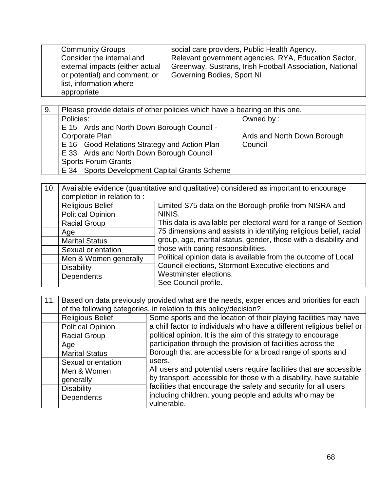| <b>Community Groups</b>         | social care providers, Public Health Agency.             |
|---------------------------------|----------------------------------------------------------|
| Consider the internal and       | Relevant government agencies, RYA, Education Sector,     |
| external impacts (either actual | Greenway, Sustrans, Irish Football Association, National |
| or potential) and comment, or   | Governing Bodies, Sport NI                               |
| list, information where         |                                                          |
| appropriate                     |                                                          |

| 9. | Please provide details of other policies which have a bearing on this one. |                             |
|----|----------------------------------------------------------------------------|-----------------------------|
|    | Policies:                                                                  | Owned by:                   |
|    | E 15 Ards and North Down Borough Council -                                 |                             |
|    | Corporate Plan                                                             | Ards and North Down Borough |
|    | E 16 Good Relations Strategy and Action Plan                               | Council                     |
|    | E 33 Ards and North Down Borough Council                                   |                             |
|    | <b>Sports Forum Grants</b>                                                 |                             |
|    | E 34 Sports Development Capital Grants Scheme                              |                             |

| 10. | Available evidence (quantitative and qualitative) considered as important to encourage |                                                                                                                                                                                                                                                          |  |  |
|-----|----------------------------------------------------------------------------------------|----------------------------------------------------------------------------------------------------------------------------------------------------------------------------------------------------------------------------------------------------------|--|--|
|     | completion in relation to:                                                             |                                                                                                                                                                                                                                                          |  |  |
|     | <b>Religious Belief</b>                                                                | Limited S75 data on the Borough profile from NISRA and                                                                                                                                                                                                   |  |  |
|     | <b>Political Opinion</b>                                                               | NINIS.                                                                                                                                                                                                                                                   |  |  |
|     | <b>Racial Group</b>                                                                    | This data is available per electoral ward for a range of Section                                                                                                                                                                                         |  |  |
|     | Age                                                                                    | 75 dimensions and assists in identifying religious belief, racial                                                                                                                                                                                        |  |  |
|     | <b>Marital Status</b>                                                                  | group, age, marital status, gender, those with a disability and<br>those with caring responsibilities.<br>Political opinion data is available from the outcome of Local<br>Council elections, Stormont Executive elections and<br>Westminster elections. |  |  |
|     | Sexual orientation                                                                     |                                                                                                                                                                                                                                                          |  |  |
|     | Men & Women generally                                                                  |                                                                                                                                                                                                                                                          |  |  |
|     | <b>Disability</b>                                                                      |                                                                                                                                                                                                                                                          |  |  |
|     | Dependents                                                                             |                                                                                                                                                                                                                                                          |  |  |
|     |                                                                                        | See Council profile.                                                                                                                                                                                                                                     |  |  |

| 11. | Based on data previously provided what are the needs, experiences and priorities for each<br>of the following categories, in relation to this policy/decision? |                                                                        |  |
|-----|----------------------------------------------------------------------------------------------------------------------------------------------------------------|------------------------------------------------------------------------|--|
|     | <b>Religious Belief</b>                                                                                                                                        | Some sports and the location of their playing facilities may have      |  |
|     | <b>Political Opinion</b>                                                                                                                                       | a chill factor to individuals who have a different religious belief or |  |
|     | <b>Racial Group</b>                                                                                                                                            | political opinion. It is the aim of this strategy to encourage         |  |
|     | Age                                                                                                                                                            | participation through the provision of facilities across the           |  |
|     | <b>Marital Status</b>                                                                                                                                          | Borough that are accessible for a broad range of sports and            |  |
|     | Sexual orientation                                                                                                                                             | users.                                                                 |  |
|     | Men & Women                                                                                                                                                    | All users and potential users require facilities that are accessible   |  |
|     | generally                                                                                                                                                      | by transport, accessible for those with a disability, have suitable    |  |
|     | <b>Disability</b>                                                                                                                                              | facilities that encourage the safety and security for all users        |  |
|     | <b>Dependents</b>                                                                                                                                              | including children, young people and adults who may be<br>vulnerable.  |  |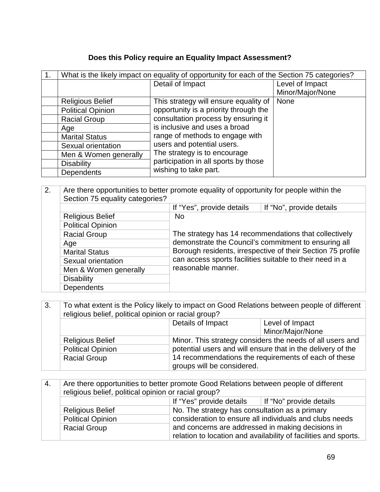## **Does this Policy require an Equality Impact Assessment?**

| What is the likely impact on equality of opportunity for each of the Section 75 categories? |                                       |                  |
|---------------------------------------------------------------------------------------------|---------------------------------------|------------------|
|                                                                                             | Detail of Impact                      | Level of Impact  |
|                                                                                             |                                       | Minor/Major/None |
| <b>Religious Belief</b>                                                                     | This strategy will ensure equality of | <b>None</b>      |
| <b>Political Opinion</b>                                                                    | opportunity is a priority through the |                  |
| <b>Racial Group</b>                                                                         | consultation process by ensuring it   |                  |
| Age                                                                                         | is inclusive and uses a broad         |                  |
| <b>Marital Status</b>                                                                       | range of methods to engage with       |                  |
| Sexual orientation                                                                          | users and potential users.            |                  |
| Men & Women generally                                                                       | The strategy is to encourage          |                  |
| <b>Disability</b>                                                                           | participation in all sports by those  |                  |
| <b>Dependents</b>                                                                           | wishing to take part.                 |                  |

| 2. | Are there opportunities to better promote equality of opportunity for people within the<br>Section 75 equality categories? |                                                                                                                                               |                          |  |
|----|----------------------------------------------------------------------------------------------------------------------------|-----------------------------------------------------------------------------------------------------------------------------------------------|--------------------------|--|
|    |                                                                                                                            | If "Yes", provide details                                                                                                                     | If "No", provide details |  |
|    | <b>Religious Belief</b>                                                                                                    | No.                                                                                                                                           |                          |  |
|    | <b>Political Opinion</b>                                                                                                   | The strategy has 14 recommendations that collectively<br>demonstrate the Council's commitment to ensuring all                                 |                          |  |
|    | <b>Racial Group</b>                                                                                                        |                                                                                                                                               |                          |  |
|    | Age                                                                                                                        |                                                                                                                                               |                          |  |
|    | <b>Marital Status</b>                                                                                                      | Borough residents, irrespective of their Section 75 profile<br>can access sports facilities suitable to their need in a<br>reasonable manner. |                          |  |
|    | Sexual orientation                                                                                                         |                                                                                                                                               |                          |  |
|    | Men & Women generally                                                                                                      |                                                                                                                                               |                          |  |
|    | <b>Disability</b>                                                                                                          |                                                                                                                                               |                          |  |
|    | <b>Dependents</b>                                                                                                          |                                                                                                                                               |                          |  |

| 3. | To what extent is the Policy likely to impact on Good Relations between people of different<br>religious belief, political opinion or racial group? |                                                                                                                                                                                  |  |  |
|----|-----------------------------------------------------------------------------------------------------------------------------------------------------|----------------------------------------------------------------------------------------------------------------------------------------------------------------------------------|--|--|
|    |                                                                                                                                                     | Details of Impact<br>Level of Impact                                                                                                                                             |  |  |
|    |                                                                                                                                                     | Minor/Major/None                                                                                                                                                                 |  |  |
|    | <b>Religious Belief</b>                                                                                                                             | Minor. This strategy considers the needs of all users and<br>potential users and will ensure that in the delivery of the<br>14 recommendations the requirements of each of these |  |  |
|    | <b>Political Opinion</b>                                                                                                                            |                                                                                                                                                                                  |  |  |
|    | <b>Racial Group</b>                                                                                                                                 |                                                                                                                                                                                  |  |  |
|    |                                                                                                                                                     | groups will be considered.                                                                                                                                                       |  |  |

| $^{\circ}$ 4. | Are there opportunities to better promote Good Relations between people of different<br>religious belief, political opinion or racial group? |                                                                                                                                                                |                                                                 |  |
|---------------|----------------------------------------------------------------------------------------------------------------------------------------------|----------------------------------------------------------------------------------------------------------------------------------------------------------------|-----------------------------------------------------------------|--|
|               | If "Yes" provide details<br>If "No" provide details                                                                                          |                                                                                                                                                                |                                                                 |  |
|               | <b>Religious Belief</b>                                                                                                                      | No. The strategy has consultation as a primary<br>consideration to ensure all individuals and clubs needs<br>and concerns are addressed in making decisions in |                                                                 |  |
|               | <b>Political Opinion</b>                                                                                                                     |                                                                                                                                                                |                                                                 |  |
|               | <b>Racial Group</b>                                                                                                                          |                                                                                                                                                                |                                                                 |  |
|               |                                                                                                                                              |                                                                                                                                                                | relation to location and availability of facilities and sports. |  |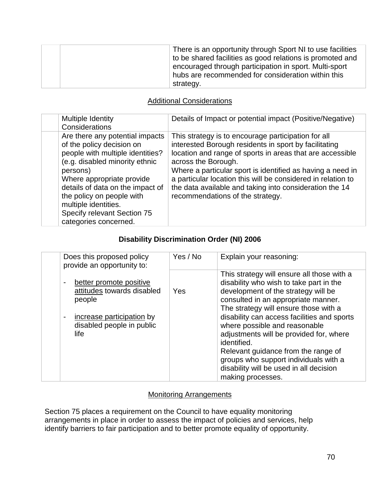| There is an opportunity through Sport NI to use facilities<br>to be shared facilities as good relations is promoted and<br>encouraged through participation in sport. Multi-sport<br>hubs are recommended for consideration within this |
|-----------------------------------------------------------------------------------------------------------------------------------------------------------------------------------------------------------------------------------------|
| strategy.                                                                                                                                                                                                                               |

### Additional Considerations

| <b>Multiple Identity</b><br>Considerations                                                                                                                                                                                                                                                                                   | Details of Impact or potential impact (Positive/Negative)                                                                                                                                                                                                                                                                                                                                                                     |
|------------------------------------------------------------------------------------------------------------------------------------------------------------------------------------------------------------------------------------------------------------------------------------------------------------------------------|-------------------------------------------------------------------------------------------------------------------------------------------------------------------------------------------------------------------------------------------------------------------------------------------------------------------------------------------------------------------------------------------------------------------------------|
| Are there any potential impacts<br>of the policy decision on<br>people with multiple identities?<br>(e.g. disabled minority ethnic<br>persons)<br>Where appropriate provide<br>details of data on the impact of<br>the policy on people with<br>multiple identities.<br>Specify relevant Section 75<br>categories concerned. | This strategy is to encourage participation for all<br>interested Borough residents in sport by facilitating<br>location and range of sports in areas that are accessible<br>across the Borough.<br>Where a particular sport is identified as having a need in<br>a particular location this will be considered in relation to<br>the data available and taking into consideration the 14<br>recommendations of the strategy. |

### **Disability Discrimination Order (NI) 2006**

| Does this proposed policy<br>provide an opportunity to:                                                                           | Yes / No | Explain your reasoning:                                                                                                                                                                                                                                                                                                                                                                                                                                                                                |
|-----------------------------------------------------------------------------------------------------------------------------------|----------|--------------------------------------------------------------------------------------------------------------------------------------------------------------------------------------------------------------------------------------------------------------------------------------------------------------------------------------------------------------------------------------------------------------------------------------------------------------------------------------------------------|
| better promote positive<br>attitudes towards disabled<br>people<br>increase participation by<br>disabled people in public<br>life | Yes      | This strategy will ensure all those with a<br>disability who wish to take part in the<br>development of the strategy will be<br>consulted in an appropriate manner.<br>The strategy will ensure those with a<br>disability can access facilities and sports<br>where possible and reasonable<br>adjustments will be provided for, where<br>identified.<br>Relevant guidance from the range of<br>groups who support individuals with a<br>disability will be used in all decision<br>making processes. |

#### Monitoring Arrangements

Section 75 places a requirement on the Council to have equality monitoring arrangements in place in order to assess the impact of policies and services, help identify barriers to fair participation and to better promote equality of opportunity.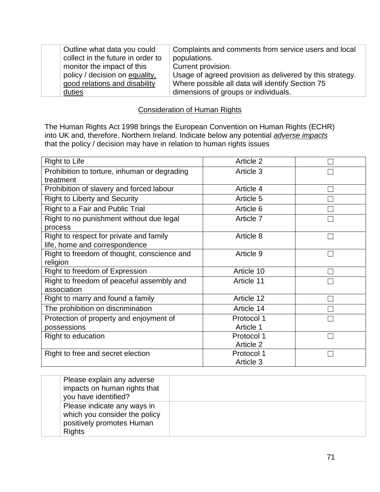| Outline what data you could       | Complaints and comments from service users and local     |
|-----------------------------------|----------------------------------------------------------|
| collect in the future in order to | populations.                                             |
| monitor the impact of this        | Current provision.                                       |
| policy / decision on equality,    | Usage of agreed provision as delivered by this strategy. |
| good relations and disability     | Where possible all data will identify Section 75         |
| duties                            | dimensions of groups or individuals.                     |

#### Consideration of Human Rights

The Human Rights Act 1998 brings the European Convention on Human Rights (ECHR) into UK and, therefore, Northern Ireland. Indicate below any potential *adverse impacts* that the policy / decision may have in relation to human rights issues

| <b>Right to Life</b>                                      | Article 2  |        |
|-----------------------------------------------------------|------------|--------|
| Prohibition to torture, inhuman or degrading<br>treatment | Article 3  |        |
| Prohibition of slavery and forced labour                  | Article 4  |        |
| <b>Right to Liberty and Security</b>                      | Article 5  |        |
| Right to a Fair and Public Trial                          | Article 6  |        |
| Right to no punishment without due legal                  | Article 7  |        |
| process                                                   |            |        |
| Right to respect for private and family                   | Article 8  |        |
| life, home and correspondence                             |            |        |
| Right to freedom of thought, conscience and               | Article 9  |        |
| religion                                                  |            |        |
| Right to freedom of Expression                            | Article 10 |        |
| Right to freedom of peaceful assembly and<br>association  | Article 11 |        |
| Right to marry and found a family                         | Article 12 |        |
| The prohibition on discrimination                         | Article 14 |        |
| Protection of property and enjoyment of                   | Protocol 1 | $\Box$ |
| possessions                                               | Article 1  |        |
| Right to education                                        | Protocol 1 |        |
|                                                           | Article 2  |        |
| Right to free and secret election                         | Protocol 1 |        |
|                                                           | Article 3  |        |

| Please explain any adverse<br>impacts on human rights that<br>you have identified?                         |  |
|------------------------------------------------------------------------------------------------------------|--|
| Please indicate any ways in<br>which you consider the policy<br>positively promotes Human<br><b>Rights</b> |  |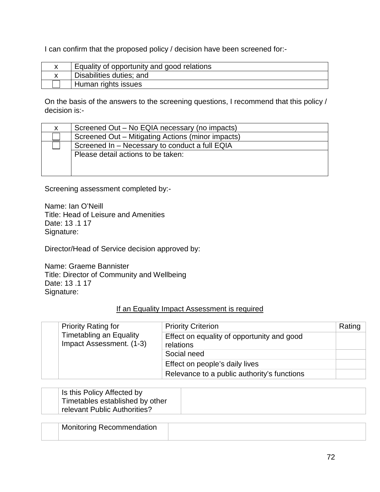I can confirm that the proposed policy / decision have been screened for:-

| Equality of opportunity and good relations |
|--------------------------------------------|
| Disabilities duties; and                   |
| Human rights issues                        |

On the basis of the answers to the screening questions, I recommend that this policy / decision is:-

| X. | Screened Out – No EQIA necessary (no impacts)     |  |
|----|---------------------------------------------------|--|
|    | Screened Out - Mitigating Actions (minor impacts) |  |
|    | Screened In - Necessary to conduct a full EQIA    |  |
|    | Please detail actions to be taken:                |  |
|    |                                                   |  |
|    |                                                   |  |

Screening assessment completed by:-

Name: Ian O'Neill Title: Head of Leisure and Amenities Date: 13 .1 17 Signature:

Director/Head of Service decision approved by:

Name: Graeme Bannister Title: Director of Community and Wellbeing Date: 13 .1 17 Signature:

#### If an Equality Impact Assessment is required

|  | <b>Priority Rating for</b><br><b>Timetabling an Equality</b><br>Impact Assessment. (1-3) | <b>Priority Criterion</b>                               | Rating |
|--|------------------------------------------------------------------------------------------|---------------------------------------------------------|--------|
|  |                                                                                          | Effect on equality of opportunity and good<br>relations |        |
|  |                                                                                          | Social need                                             |        |
|  |                                                                                          | Effect on people's daily lives                          |        |
|  |                                                                                          | Relevance to a public authority's functions             |        |

| Is this Policy Affected by      |  |
|---------------------------------|--|
| Timetables established by other |  |
| relevant Public Authorities?    |  |